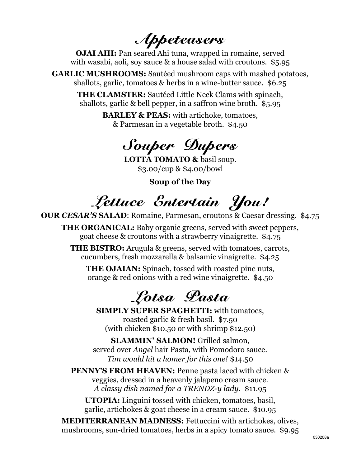Appeteasers

**OJAI AHI:** Pan seared Ahi tuna, wrapped in romaine, served with wasabi, aoli, soy sauce & a house salad with croutons. \$5.95

**GARLIC MUSHROOMS:** Sautéed mushroom caps with mashed potatoes, shallots, garlic, tomatoes & herbs in a wine-butter sauce. \$6.25

**THE CLAMSTER:** Sautéed Little Neck Clams with spinach, shallots, garlic & bell pepper, in a saffron wine broth. \$5.95

> **BARLEY & PEAS:** with artichoke, tomatoes, & Parmesan in a vegetable broth. \$4.50

### Souper Dupers

**LOTTA TOMATO &** basil soup. \$3.00/cup & \$4.00/bowl

**Soup of the Day**

Lettuce Entertain You!

**OUR** *CESAR'S* **SALAD**: Romaine, Parmesan, croutons & Caesar dressing. \$4.75

**THE ORGANICAL:** Baby organic greens, served with sweet peppers, goat cheese & croutons with a strawberry vinaigrette. \$4.75

**THE BISTRO:** Arugula & greens, served with tomatoes, carrots, cucumbers, fresh mozzarella & balsamic vinaigrette. \$4.25

**THE OJAIAN:** Spinach, tossed with roasted pine nuts, orange & red onions with a red wine vinaigrette. \$4.50

Lotsa Pasta

**SIMPLY SUPER SPAGHETTI:** with tomatoes, roasted garlic & fresh basil. \$7.50 (with chicken \$10.50 or with shrimp \$12.50)

**SLAMMIN' SALMON!** Grilled salmon, served over *Angel* hair Pasta, with Pomodoro sauce. *Tim would hit a homer for this one!* \$14.50

**PENNY'S FROM HEAVEN:** Penne pasta laced with chicken & veggies, dressed in a heavenly jalapeno cream sauce. *A classy dish named for a TRENDZ-y lady.* \$11.95

**UTOPIA:** Linguini tossed with chicken, tomatoes, basil, garlic, artichokes & goat cheese in a cream sauce. \$10.95

**MEDITERRANEAN MADNESS:** Fettuccini with artichokes, olives, mushrooms, sun-dried tomatoes, herbs in a spicy tomato sauce. \$9.95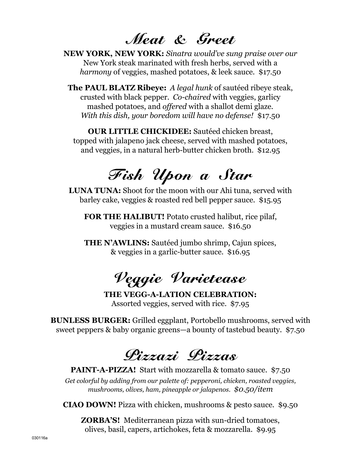#### Meat & Greet

**NEW YORK, NEW YORK:** *Sinatra would've sung praise over our* New York steak marinated with fresh herbs, served with a *harmony* of veggies, mashed potatoes, & leek sauce. \$17.50

**The PAUL BLATZ Ribeye:** *A legal hunk* of sautéed ribeye steak, crusted with black pepper. *Co-chaired* with veggies, garlicy mashed potatoes, and *offered* with a shallot demi glaze. *With this dish, your boredom will have no defense!* \$17.50

**OUR LITTLE CHICKIDEE:** Sautéed chicken breast, topped with jalapeno jack cheese, served with mashed potatoes, and veggies, in a natural herb-butter chicken broth. \$12.95

# Fish Upon a Star

**LUNA TUNA:** Shoot for the moon with our Ahi tuna, served with barley cake, veggies & roasted red bell pepper sauce. \$15.95

**FOR THE HALIBUT!** Potato crusted halibut, rice pilaf, veggies in a mustard cream sauce. \$16.50

**THE N'AWLINS:** Sautéed jumbo shrimp, Cajun spices, & veggies in a garlic-butter sauce. \$16.95

# Veggie Varietease

**THE VEGG-A-LATION CELEBRATION:** Assorted veggies, served with rice. \$7.95

**BUNLESS BURGER:** Grilled eggplant, Portobello mushrooms, served with sweet peppers & baby organic greens—a bounty of tastebud beauty. \$7.50

## Pizzazi Pizzas

**PAINT-A-PIZZA!** Start with mozzarella & tomato sauce. \$7.50 *Get colorful by adding from our palette of: pepperoni, chicken, roasted veggies, mushrooms, olives, ham, pineapple or jalapenos. \$0.50/item*

**CIAO DOWN!** Pizza with chicken, mushrooms & pesto sauce. \$9.50

**ZORBA'S!** Mediterranean pizza with sun-dried tomatoes, olives, basil, capers, artichokes, feta & mozzarella. \$9.95